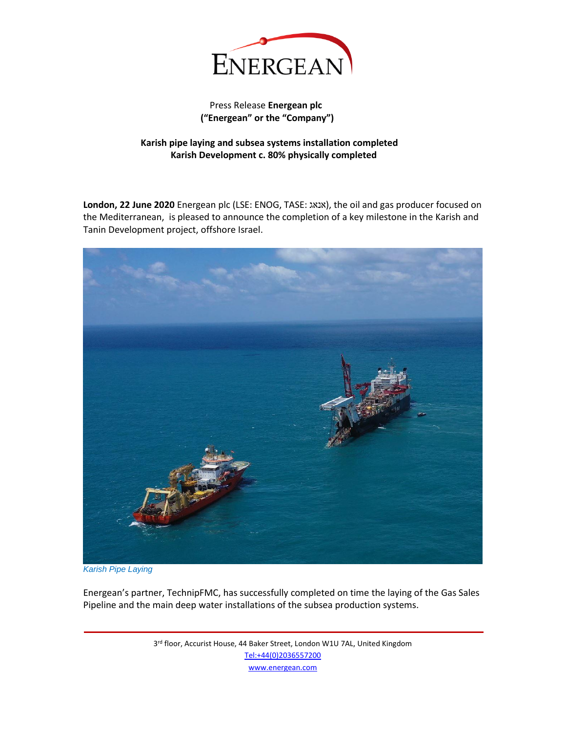

## Press Release **Energean plc ("Energean" or the "Company")**

## **Karish pipe laying and subsea systems installation completed Karish Development c. 80% physically completed**

**London, 22 June 2020** Energean plc (LSE: ENOG, TASE: אנאג(, the oil and gas producer focused on the Mediterranean, is pleased to announce the completion of a key milestone in the Karish and Tanin Development project, offshore Israel.



*Karish Pipe Laying*

Energean's partner, TechnipFMC, has successfully completed on time the laying of the Gas Sales Pipeline and the main deep water installations of the subsea production systems.

> 3<sup>rd</sup> floor, Accurist House, 44 Baker Street, London W1U 7AL, United Kingdom [Tel:+44\(0\)2036557200](tel:+44(0)2036557200) [www.energean.com](http://www.energean.com/)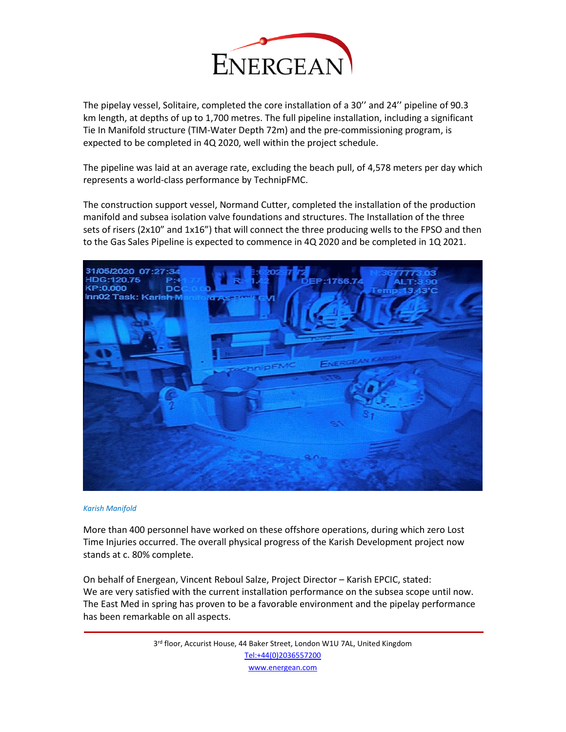

The pipelay vessel, Solitaire, completed the core installation of a 30'' and 24'' pipeline of 90.3 km length, at depths of up to 1,700 metres. The full pipeline installation, including a significant Tie In Manifold structure (TIM-Water Depth 72m) and the pre-commissioning program, is expected to be completed in 4Q 2020, well within the project schedule.

The pipeline was laid at an average rate, excluding the beach pull, of 4,578 meters per day which represents a world-class performance by TechnipFMC.

The construction support vessel, Normand Cutter, completed the installation of the production manifold and subsea isolation valve foundations and structures. The Installation of the three sets of risers (2x10" and 1x16") that will connect the three producing wells to the FPSO and then to the Gas Sales Pipeline is expected to commence in 4Q 2020 and be completed in 1Q 2021.



## *Karish Manifold*

More than 400 personnel have worked on these offshore operations, during which zero Lost Time Injuries occurred. The overall physical progress of the Karish Development project now stands at c. 80% complete.

On behalf of Energean, Vincent Reboul Salze, Project Director – Karish EPCIC, stated: We are very satisfied with the current installation performance on the subsea scope until now. The East Med in spring has proven to be a favorable environment and the pipelay performance has been remarkable on all aspects.

> 3<sup>rd</sup> floor, Accurist House, 44 Baker Street, London W1U 7AL, United Kingdom [Tel:+44\(0\)2036557200](tel:+44(0)2036557200) [www.energean.com](http://www.energean.com/)